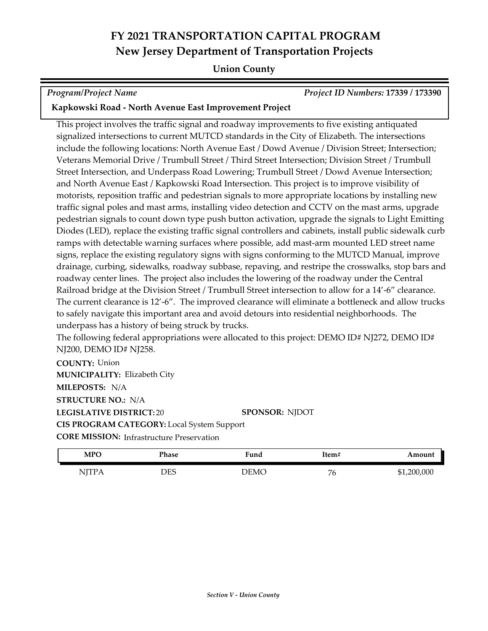#### **Union County**

*Program/Project Name Project ID Numbers:* **17339 / 173390**

#### **Kapkowski Road - North Avenue East Improvement Project**

This project involves the traffic signal and roadway improvements to five existing antiquated signalized intersections to current MUTCD standards in the City of Elizabeth. The intersections include the following locations: North Avenue East / Dowd Avenue / Division Street; Intersection; Veterans Memorial Drive / Trumbull Street / Third Street Intersection; Division Street / Trumbull Street Intersection, and Underpass Road Lowering; Trumbull Street / Dowd Avenue Intersection; and North Avenue East / Kapkowski Road Intersection. This project is to improve visibility of motorists, reposition traffic and pedestrian signals to more appropriate locations by installing new traffic signal poles and mast arms, installing video detection and CCTV on the mast arms, upgrade pedestrian signals to count down type push button activation, upgrade the signals to Light Emitting Diodes (LED), replace the existing traffic signal controllers and cabinets, install public sidewalk curb ramps with detectable warning surfaces where possible, add mast-arm mounted LED street name signs, replace the existing regulatory signs with signs conforming to the MUTCD Manual, improve drainage, curbing, sidewalks, roadway subbase, repaving, and restripe the crosswalks, stop bars and roadway center lines. The project also includes the lowering of the roadway under the Central Railroad bridge at the Division Street / Trumbull Street intersection to allow for a 14'-6" clearance. The current clearance is 12'-6". The improved clearance will eliminate a bottleneck and allow trucks to safely navigate this important area and avoid detours into residential neighborhoods. The underpass has a history of being struck by trucks.

The following federal appropriations were allocated to this project: DEMO ID# NJ272, DEMO ID# NJ200, DEMO ID# NJ258.

**COUNTY:** Union **LEGISLATIVE DISTRICT:** 20 **MILEPOSTS:** N/A **STRUCTURE NO.:** N/A **MUNICIPALITY: Elizabeth City CORE MISSION: Infrastructure Preservation SPONSOR:** NJDOT **CIS PROGRAM CATEGORY:** Local System Support

| MPO          | Phase | <b>Fund</b> | Item#              | Amount      |
|--------------|-------|-------------|--------------------|-------------|
| <b>NJTPA</b> | DES   | DEMC        | $\mathbf{r}$<br>'o | \$1,200,000 |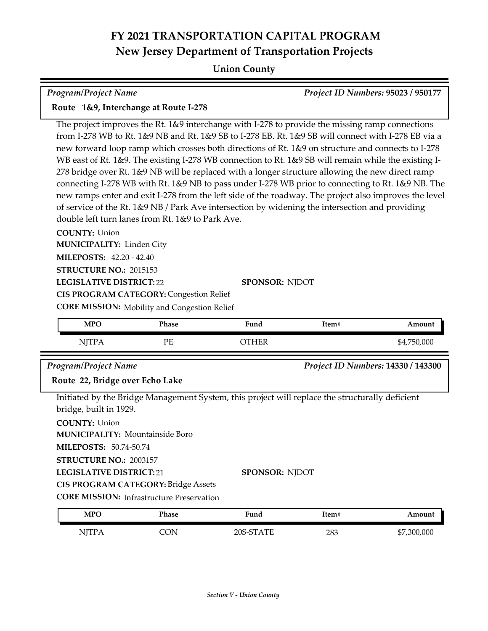## **Union County**

| Program/Project Name                                                                                                                                                                                                                                                                                                                                                                                                                                                                                                                                                                                                                                                                                                                                                                                                                                                                         |                                                                                                       |                                                                                                                          |       | Project ID Numbers: 95023 / 950177 |
|----------------------------------------------------------------------------------------------------------------------------------------------------------------------------------------------------------------------------------------------------------------------------------------------------------------------------------------------------------------------------------------------------------------------------------------------------------------------------------------------------------------------------------------------------------------------------------------------------------------------------------------------------------------------------------------------------------------------------------------------------------------------------------------------------------------------------------------------------------------------------------------------|-------------------------------------------------------------------------------------------------------|--------------------------------------------------------------------------------------------------------------------------|-------|------------------------------------|
| Route 1&9, Interchange at Route I-278                                                                                                                                                                                                                                                                                                                                                                                                                                                                                                                                                                                                                                                                                                                                                                                                                                                        |                                                                                                       |                                                                                                                          |       |                                    |
| The project improves the Rt. 1&9 interchange with I-278 to provide the missing ramp connections<br>from I-278 WB to Rt. 1&9 NB and Rt. 1&9 SB to I-278 EB. Rt. 1&9 SB will connect with I-278 EB via a<br>new forward loop ramp which crosses both directions of Rt. 1&9 on structure and connects to I-278<br>WB east of Rt. 1&9. The existing I-278 WB connection to Rt. 1&9 SB will remain while the existing I-<br>278 bridge over Rt. 1&9 NB will be replaced with a longer structure allowing the new direct ramp<br>connecting I-278 WB with Rt. 1&9 NB to pass under I-278 WB prior to connecting to Rt. 1&9 NB. The<br>new ramps enter and exit I-278 from the left side of the roadway. The project also improves the level<br>of service of the Rt. 1&9 NB / Park Ave intersection by widening the intersection and providing<br>double left turn lanes from Rt. 1&9 to Park Ave. |                                                                                                       |                                                                                                                          |       |                                    |
| <b>COUNTY: Union</b><br><b>MUNICIPALITY: Linden City</b><br>MILEPOSTS: 42.20 - 42.40<br>STRUCTURE NO.: 2015153<br><b>LEGISLATIVE DISTRICT:22</b>                                                                                                                                                                                                                                                                                                                                                                                                                                                                                                                                                                                                                                                                                                                                             | <b>CIS PROGRAM CATEGORY: Congestion Relief</b><br><b>CORE MISSION:</b> Mobility and Congestion Relief | <b>SPONSOR: NJDOT</b>                                                                                                    |       |                                    |
| <b>MPO</b>                                                                                                                                                                                                                                                                                                                                                                                                                                                                                                                                                                                                                                                                                                                                                                                                                                                                                   | Phase                                                                                                 | Fund                                                                                                                     | Item# | Amount                             |
| <b>NJTPA</b>                                                                                                                                                                                                                                                                                                                                                                                                                                                                                                                                                                                                                                                                                                                                                                                                                                                                                 | PE                                                                                                    | <b>OTHER</b>                                                                                                             |       | \$4,750,000                        |
| <b>Program/Project Name</b>                                                                                                                                                                                                                                                                                                                                                                                                                                                                                                                                                                                                                                                                                                                                                                                                                                                                  |                                                                                                       |                                                                                                                          |       | Project ID Numbers: 14330 / 143300 |
| Route 22, Bridge over Echo Lake                                                                                                                                                                                                                                                                                                                                                                                                                                                                                                                                                                                                                                                                                                                                                                                                                                                              |                                                                                                       |                                                                                                                          |       |                                    |
| bridge, built in 1929.<br><b>COUNTY: Union</b><br><b>MUNICIPALITY: Mountainside Boro</b><br>MILEPOSTS: 50.74-50.74<br>STRUCTURE NO.: 2003157<br><b>LEGISLATIVE DISTRICT:21</b>                                                                                                                                                                                                                                                                                                                                                                                                                                                                                                                                                                                                                                                                                                               | <b>CIS PROGRAM CATEGORY: Bridge Assets</b><br><b>CORE MISSION:</b> Infrastructure Preservation        | Initiated by the Bridge Management System, this project will replace the structurally deficient<br><b>SPONSOR: NJDOT</b> |       |                                    |
| <b>MPO</b>                                                                                                                                                                                                                                                                                                                                                                                                                                                                                                                                                                                                                                                                                                                                                                                                                                                                                   | Phase                                                                                                 | Fund                                                                                                                     | Item# | Amount                             |
| <b>NJTPA</b>                                                                                                                                                                                                                                                                                                                                                                                                                                                                                                                                                                                                                                                                                                                                                                                                                                                                                 | <b>CON</b>                                                                                            | 20S-STATE                                                                                                                | 283   | \$7,300,000                        |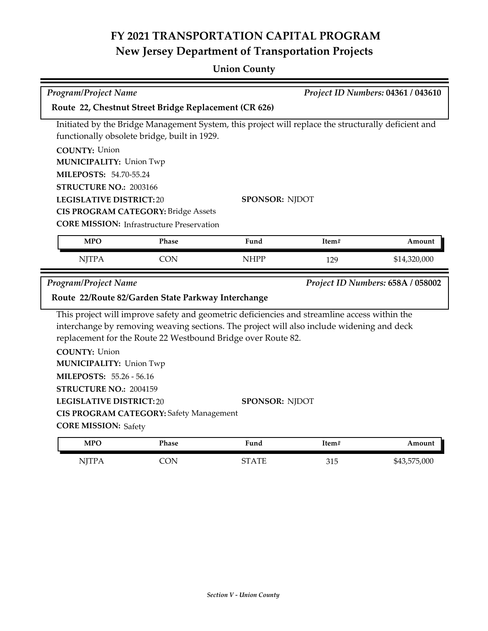## **Union County**

| Project ID Numbers: 04361 / 043610<br><b>Program/Project Name</b>                                                                                                           |                                                                  |                                                                                                                                                                                                                                                           |       |              |  |
|-----------------------------------------------------------------------------------------------------------------------------------------------------------------------------|------------------------------------------------------------------|-----------------------------------------------------------------------------------------------------------------------------------------------------------------------------------------------------------------------------------------------------------|-------|--------------|--|
| Route 22, Chestnut Street Bridge Replacement (CR 626)                                                                                                                       |                                                                  |                                                                                                                                                                                                                                                           |       |              |  |
| Initiated by the Bridge Management System, this project will replace the structurally deficient and<br>functionally obsolete bridge, built in 1929.<br><b>COUNTY: Union</b> |                                                                  |                                                                                                                                                                                                                                                           |       |              |  |
| <b>MUNICIPALITY: Union Twp</b>                                                                                                                                              |                                                                  |                                                                                                                                                                                                                                                           |       |              |  |
| <b>MILEPOSTS: 54.70-55.24</b>                                                                                                                                               |                                                                  |                                                                                                                                                                                                                                                           |       |              |  |
| STRUCTURE NO.: 2003166                                                                                                                                                      |                                                                  |                                                                                                                                                                                                                                                           |       |              |  |
| <b>LEGISLATIVE DISTRICT:20</b>                                                                                                                                              |                                                                  | <b>SPONSOR: NJDOT</b>                                                                                                                                                                                                                                     |       |              |  |
|                                                                                                                                                                             | <b>CIS PROGRAM CATEGORY: Bridge Assets</b>                       |                                                                                                                                                                                                                                                           |       |              |  |
|                                                                                                                                                                             | <b>CORE MISSION: Infrastructure Preservation</b>                 |                                                                                                                                                                                                                                                           |       |              |  |
| <b>MPO</b>                                                                                                                                                                  | <b>Phase</b>                                                     | Fund                                                                                                                                                                                                                                                      | Item# | Amount       |  |
| <b>NJTPA</b>                                                                                                                                                                | <b>CON</b>                                                       | <b>NHPP</b>                                                                                                                                                                                                                                               | 129   | \$14,320,000 |  |
|                                                                                                                                                                             | <b>Program/Project Name</b><br>Project ID Numbers: 658A / 058002 |                                                                                                                                                                                                                                                           |       |              |  |
|                                                                                                                                                                             | Route 22/Route 82/Garden State Parkway Interchange               |                                                                                                                                                                                                                                                           |       |              |  |
|                                                                                                                                                                             |                                                                  | This project will improve safety and geometric deficiencies and streamline access within the<br>interchange by removing weaving sections. The project will also include widening and deck<br>replacement for the Route 22 Westbound Bridge over Route 82. |       |              |  |
| <b>COUNTY: Union</b>                                                                                                                                                        |                                                                  |                                                                                                                                                                                                                                                           |       |              |  |
| <b>MUNICIPALITY: Union Twp</b>                                                                                                                                              |                                                                  |                                                                                                                                                                                                                                                           |       |              |  |
| <b>MILEPOSTS: 55.26 - 56.16</b>                                                                                                                                             |                                                                  |                                                                                                                                                                                                                                                           |       |              |  |
| STRUCTURE NO.: 2004159                                                                                                                                                      |                                                                  |                                                                                                                                                                                                                                                           |       |              |  |
| <b>LEGISLATIVE DISTRICT:20</b>                                                                                                                                              |                                                                  | <b>SPONSOR: NJDOT</b>                                                                                                                                                                                                                                     |       |              |  |
|                                                                                                                                                                             | <b>CIS PROGRAM CATEGORY: Safety Management</b>                   |                                                                                                                                                                                                                                                           |       |              |  |
| <b>CORE MISSION: Safety</b>                                                                                                                                                 |                                                                  |                                                                                                                                                                                                                                                           |       |              |  |
| <b>MPO</b>                                                                                                                                                                  | Phase                                                            | Fund                                                                                                                                                                                                                                                      | Item# | Amount       |  |
| <b>NJTPA</b>                                                                                                                                                                | <b>CON</b>                                                       | <b>STATE</b>                                                                                                                                                                                                                                              | 315   | \$43,575,000 |  |
|                                                                                                                                                                             |                                                                  |                                                                                                                                                                                                                                                           |       |              |  |
|                                                                                                                                                                             |                                                                  |                                                                                                                                                                                                                                                           |       |              |  |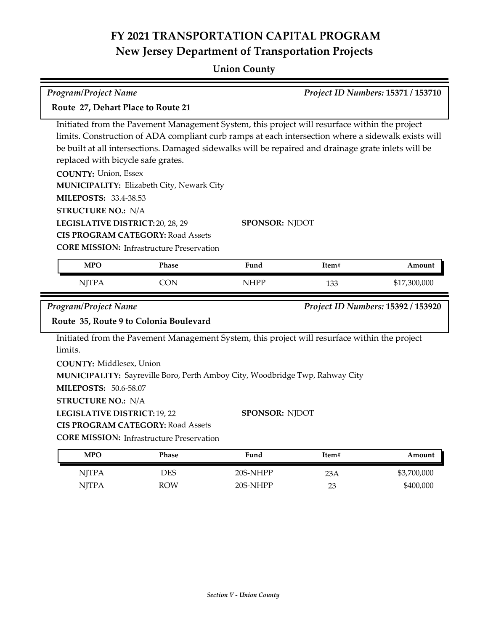### **Union County**

| Program/Project Name<br>Project ID Numbers: 15371 / 153710                         |                                                                                              |                                                                                                                                                                                                                                                                                                            |       |                                    |  |
|------------------------------------------------------------------------------------|----------------------------------------------------------------------------------------------|------------------------------------------------------------------------------------------------------------------------------------------------------------------------------------------------------------------------------------------------------------------------------------------------------------|-------|------------------------------------|--|
| Route 27, Dehart Place to Route 21                                                 |                                                                                              |                                                                                                                                                                                                                                                                                                            |       |                                    |  |
| replaced with bicycle safe grates.                                                 |                                                                                              | Initiated from the Pavement Management System, this project will resurface within the project<br>limits. Construction of ADA compliant curb ramps at each intersection where a sidewalk exists will<br>be built at all intersections. Damaged sidewalks will be repaired and drainage grate inlets will be |       |                                    |  |
| <b>COUNTY: Union, Essex</b><br><b>MILEPOSTS: 33.4-38.53</b>                        | MUNICIPALITY: Elizabeth City, Newark City                                                    |                                                                                                                                                                                                                                                                                                            |       |                                    |  |
| <b>STRUCTURE NO.: N/A</b>                                                          |                                                                                              |                                                                                                                                                                                                                                                                                                            |       |                                    |  |
| LEGISLATIVE DISTRICT: 20, 28, 29                                                   | <b>CIS PROGRAM CATEGORY: Road Assets</b><br><b>CORE MISSION: Infrastructure Preservation</b> | <b>SPONSOR: NJDOT</b>                                                                                                                                                                                                                                                                                      |       |                                    |  |
| <b>MPO</b>                                                                         | Phase                                                                                        | Fund<br>Item#<br>Amount                                                                                                                                                                                                                                                                                    |       |                                    |  |
| <b>NJTPA</b>                                                                       | <b>CON</b>                                                                                   | <b>NHPP</b>                                                                                                                                                                                                                                                                                                | 133   | \$17,300,000                       |  |
| Program/Project Name                                                               |                                                                                              |                                                                                                                                                                                                                                                                                                            |       | Project ID Numbers: 15392 / 153920 |  |
|                                                                                    | Route 35, Route 9 to Colonia Boulevard                                                       |                                                                                                                                                                                                                                                                                                            |       |                                    |  |
| limits.                                                                            |                                                                                              | Initiated from the Pavement Management System, this project will resurface within the project                                                                                                                                                                                                              |       |                                    |  |
| <b>COUNTY: Middlesex, Union</b><br><b>MILEPOSTS: 50.6-58.07</b>                    |                                                                                              | MUNICIPALITY: Sayreville Boro, Perth Amboy City, Woodbridge Twp, Rahway City                                                                                                                                                                                                                               |       |                                    |  |
| <b>STRUCTURE NO.: N/A</b><br>LEGISLATIVE DISTRICT: 19, 22<br><b>SPONSOR: NJDOT</b> |                                                                                              |                                                                                                                                                                                                                                                                                                            |       |                                    |  |
|                                                                                    | <b>CIS PROGRAM CATEGORY: Road Assets</b>                                                     |                                                                                                                                                                                                                                                                                                            |       |                                    |  |
|                                                                                    | <b>CORE MISSION:</b> Infrastructure Preservation                                             |                                                                                                                                                                                                                                                                                                            |       |                                    |  |
| <b>MPO</b>                                                                         | Phase                                                                                        | Fund                                                                                                                                                                                                                                                                                                       | Item# | Amount                             |  |
| <b>NJTPA</b>                                                                       | <b>DES</b>                                                                                   | 20S-NHPP                                                                                                                                                                                                                                                                                                   | 23A   | \$3,700,000                        |  |
| <b>NJTPA</b>                                                                       | <b>ROW</b>                                                                                   | 20S-NHPP                                                                                                                                                                                                                                                                                                   | 23    | \$400,000                          |  |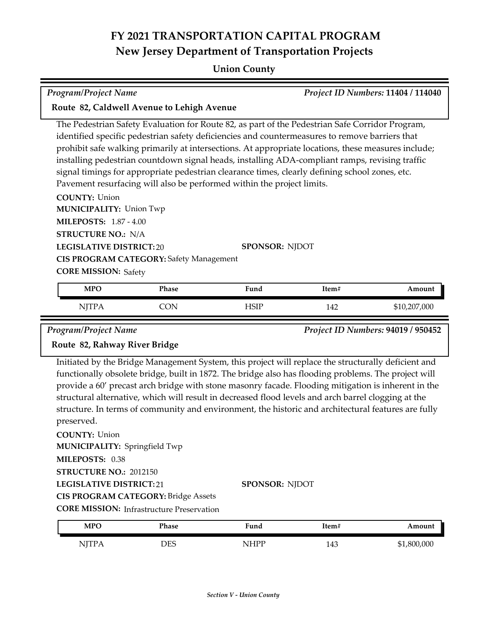#### **Union County**

#### *Program/Project Name Project ID Numbers:* **11404 / 114040**

#### **Route 82, Caldwell Avenue to Lehigh Avenue**

The Pedestrian Safety Evaluation for Route 82, as part of the Pedestrian Safe Corridor Program, identified specific pedestrian safety deficiencies and countermeasures to remove barriers that prohibit safe walking primarily at intersections. At appropriate locations, these measures include; installing pedestrian countdown signal heads, installing ADA-compliant ramps, revising traffic signal timings for appropriate pedestrian clearance times, clearly defining school zones, etc. Pavement resurfacing will also be performed within the project limits.

**COUNTY:** Union **LEGISLATIVE DISTRICT:** 20 **MILEPOSTS:** 1.87 - 4.00 **STRUCTURE NO.:** N/A **MUNICIPALITY: Union Twp CORE MISSION: Safety SPONSOR:** NJDOT **CIS PROGRAM CATEGORY:** Safety Management

| <b>MPO</b> | Phase | Fund        | Item# | Amount       |
|------------|-------|-------------|-------|--------------|
| NE         | .'ON  | <b>ISIP</b> | 142   | \$10,207,000 |

*Program/Project Name Project ID Numbers:* **94019 / 950452**

#### **Route 82, Rahway River Bridge**

Initiated by the Bridge Management System, this project will replace the structurally deficient and functionally obsolete bridge, built in 1872. The bridge also has flooding problems. The project will provide a 60' precast arch bridge with stone masonry facade. Flooding mitigation is inherent in the structural alternative, which will result in decreased flood levels and arch barrel clogging at the structure. In terms of community and environment, the historic and architectural features are fully preserved.

#### **COUNTY:** Union

**LEGISLATIVE DISTRICT:** 21 **MILEPOSTS:** 0.38 **STRUCTURE NO.:** 2012150 **MUNICIPALITY: Springfield Twp CIS PROGRAM CATEGORY:** Bridge Assets

#### **SPONSOR:** NJDOT

**CORE MISSION: Infrastructure Preservation** 

| <b>MPO</b> | Phase     | Fund                                         | Item# | <b>mount</b>   |
|------------|-----------|----------------------------------------------|-------|----------------|
| NITP<br>.  | DES<br>نت | NIHDD<br>the contract of the contract of the | 143   | 800,000<br>ጦ - |